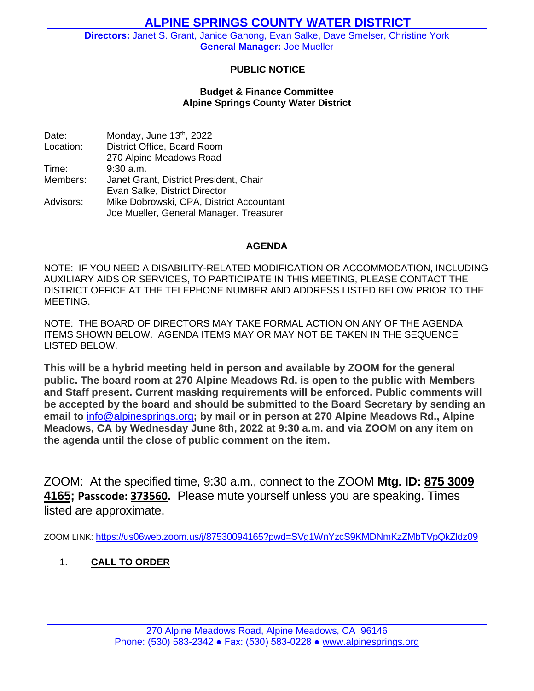# **ALPINE SPRINGS COUNTY WATER DISTRICT**

**Directors:** Janet S. Grant, Janice Ganong, Evan Salke, Dave Smelser, Christine York **General Manager:** Joe Mueller

# **PUBLIC NOTICE**

#### **Budget & Finance Committee Alpine Springs County Water District**

Date: Monday, June 13<sup>th</sup>, 2022 Location: District Office, Board Room 270 Alpine Meadows Road Time: 9:30 a.m. Members: Janet Grant, District President, Chair Evan Salke, District Director Advisors: Mike Dobrowski, CPA, District Accountant Joe Mueller, General Manager, Treasurer

#### **AGENDA**

NOTE: IF YOU NEED A DISABILITY-RELATED MODIFICATION OR ACCOMMODATION, INCLUDING AUXILIARY AIDS OR SERVICES, TO PARTICIPATE IN THIS MEETING, PLEASE CONTACT THE DISTRICT OFFICE AT THE TELEPHONE NUMBER AND ADDRESS LISTED BELOW PRIOR TO THE MEETING.

NOTE: THE BOARD OF DIRECTORS MAY TAKE FORMAL ACTION ON ANY OF THE AGENDA ITEMS SHOWN BELOW. AGENDA ITEMS MAY OR MAY NOT BE TAKEN IN THE SEQUENCE LISTED BELOW.

**This will be a hybrid meeting held in person and available by ZOOM for the general public. The board room at 270 Alpine Meadows Rd. is open to the public with Members and Staff present. Current masking requirements will be enforced. Public comments will be accepted by the board and should be submitted to the Board Secretary by sending an email to** [info@alpinesprings.org](mailto:info@alpinesprings.org)**; by mail or in person at 270 Alpine Meadows Rd., Alpine Meadows, CA by Wednesday June 8th, 2022 at 9:30 a.m. and via ZOOM on any item on the agenda until the close of public comment on the item.**

ZOOM: At the specified time, 9:30 a.m., connect to the ZOOM **Mtg. ID: 875 3009 4165; Passcode: 373560.** Please mute yourself unless you are speaking. Times listed are approximate.

ZOOM LINK: <https://us06web.zoom.us/j/87530094165?pwd=SVg1WnYzcS9KMDNmKzZMbTVpQkZldz09>

# 1. **CALL TO ORDER**